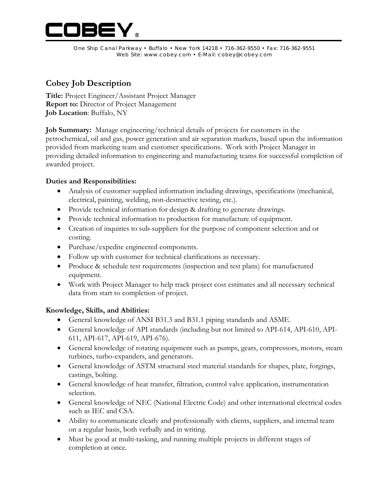

One Ship Canal Parkway • Buffalo • New York 14218 • 716-362-9550 • Fax: 716-362-9551 Web Site: www.cobey.com • E-Mail: cobey@cobey.com

# **Cobey Job Description**

**Title:** Project Engineer/Assistant Project Manager **Report to:** Director of Project Management **Job Location**: Buffalo, NY

**Job Summary:** Manage engineering/technical details of projects for customers in the petrochemical, oil and gas, power generation and air separation markets, based upon the information provided from marketing team and customer specifications. Work with Project Manager in providing detailed information to engineering and manufacturing teams for successful completion of awarded project.

## **Duties and Responsibilities:**

- Analysis of customer supplied information including drawings, specifications (mechanical, electrical, painting, welding, non-destructive testing, etc.).
- Provide technical information for design & drafting to generate drawings.
- Provide technical information to production for manufacture of equipment.
- Creation of inquiries to sub-suppliers for the purpose of component selection and or costing.
- Purchase/expedite engineered components.
- Follow up with customer for technical clarifications as necessary.
- Produce & schedule test requirements (inspection and test plans) for manufactured equipment.
- Work with Project Manager to help track project cost estimates and all necessary technical data from start to completion of project.

### **Knowledge, Skills, and Abilities:**

- General knowledge of ANSI B31.3 and B31.1 piping standards and ASME.
- General knowledge of API standards (including but not limited to API-614, API-610, API-611, API-617, API-619, API-676).
- General knowledge of rotating equipment such as pumps, gears, compressors, motors, steam turbines, turbo-expanders, and generators.
- General knowledge of ASTM structural steel material standards for shapes, plate, forgings, castings, bolting.
- General knowledge of heat transfer, filtration, control valve application, instrumentation selection.
- General knowledge of NEC (National Electric Code) and other international electrical codes such as IEC and CSA.
- Ability to communicate clearly and professionally with clients, suppliers, and internal team on a regular basis, both verbally and in writing.
- Must be good at multi-tasking, and running multiple projects in different stages of completion at once.